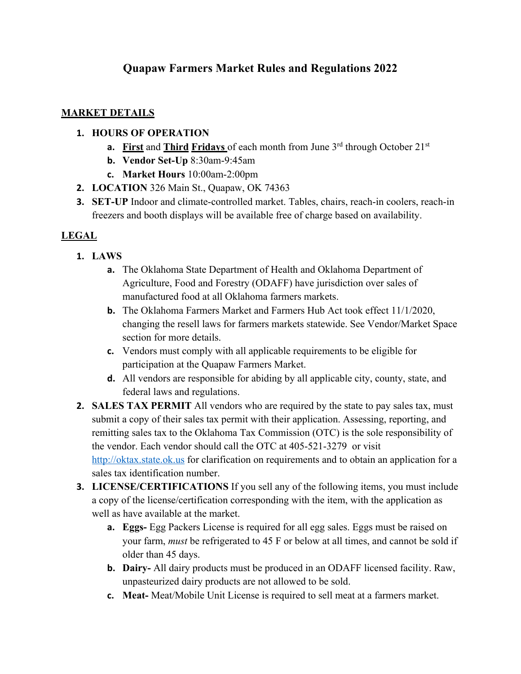# **Quapaw Farmers Market Rules and Regulations 2022**

#### **MARKET DETAILS**

#### **1. HOURS OF OPERATION**

- **a.** First and Third Fridays of each month from June 3<sup>rd</sup> through October 21<sup>st</sup>
- **b. Vendor Set-Up** 8:30am-9:45am
- **c. Market Hours** 10:00am-2:00pm
- **2. LOCATION** 326 Main St., Quapaw, OK 74363
- **3. SET-UP** Indoor and climate-controlled market. Tables, chairs, reach-in coolers, reach-in freezers and booth displays will be available free of charge based on availability.

#### **LEGAL**

- **1. LAWS** 
	- **a.** The Oklahoma State Department of Health and Oklahoma Department of Agriculture, Food and Forestry (ODAFF) have jurisdiction over sales of manufactured food at all Oklahoma farmers markets.
	- **b.** The Oklahoma Farmers Market and Farmers Hub Act took effect 11/1/2020, changing the resell laws for farmers markets statewide. See Vendor/Market Space section for more details.
	- **c.** Vendors must comply with all applicable requirements to be eligible for participation at the Quapaw Farmers Market.
	- **d.** All vendors are responsible for abiding by all applicable city, county, state, and federal laws and regulations.
- **2. SALES TAX PERMIT** All vendors who are required by the state to pay sales tax, must submit a copy of their sales tax permit with their application. Assessing, reporting, and remitting sales tax to the Oklahoma Tax Commission (OTC) is the sole responsibility of the vendor. Each vendor should call the OTC at 405-521-3279 or visit http://oktax.state.ok.us for clarification on requirements and to obtain an application for a sales tax identification number.
- **3. LICENSE/CERTIFICATIONS** If you sell any of the following items, you must include a copy of the license/certification corresponding with the item, with the application as well as have available at the market.
	- **a. Eggs-** Egg Packers License is required for all egg sales. Eggs must be raised on your farm, *must* be refrigerated to 45 F or below at all times, and cannot be sold if older than 45 days.
	- **b. Dairy-** All dairy products must be produced in an ODAFF licensed facility. Raw, unpasteurized dairy products are not allowed to be sold.
	- **c. Meat-** Meat/Mobile Unit License is required to sell meat at a farmers market.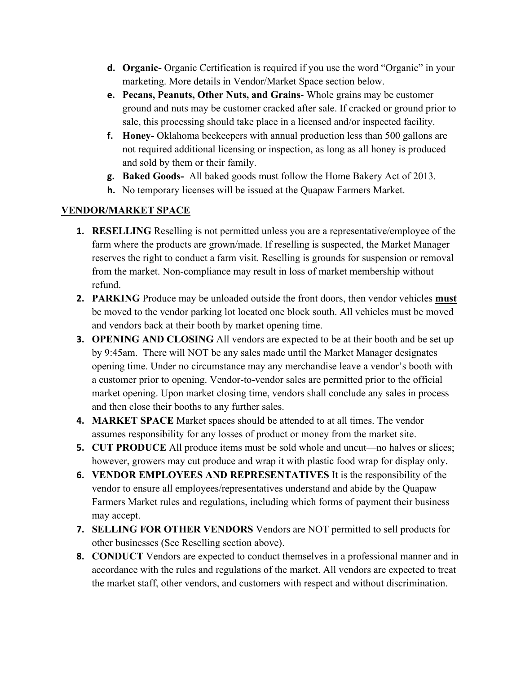- **d. Organic-** Organic Certification is required if you use the word "Organic" in your marketing. More details in Vendor/Market Space section below.
- **e. Pecans, Peanuts, Other Nuts, and Grains** Whole grains may be customer ground and nuts may be customer cracked after sale. If cracked or ground prior to sale, this processing should take place in a licensed and/or inspected facility.
- **f. Honey-** Oklahoma beekeepers with annual production less than 500 gallons are not required additional licensing or inspection, as long as all honey is produced and sold by them or their family.
- **g. Baked Goods-** All baked goods must follow the Home Bakery Act of 2013.
- **h.** No temporary licenses will be issued at the Quapaw Farmers Market.

## **VENDOR/MARKET SPACE**

- **1. RESELLING** Reselling is not permitted unless you are a representative/employee of the farm where the products are grown/made. If reselling is suspected, the Market Manager reserves the right to conduct a farm visit. Reselling is grounds for suspension or removal from the market. Non-compliance may result in loss of market membership without refund.
- **2. PARKING** Produce may be unloaded outside the front doors, then vendor vehicles **must** be moved to the vendor parking lot located one block south. All vehicles must be moved and vendors back at their booth by market opening time.
- **3. OPENING AND CLOSING** All vendors are expected to be at their booth and be set up by 9:45am. There will NOT be any sales made until the Market Manager designates opening time. Under no circumstance may any merchandise leave a vendor's booth with a customer prior to opening. Vendor-to-vendor sales are permitted prior to the official market opening. Upon market closing time, vendors shall conclude any sales in process and then close their booths to any further sales.
- **4. MARKET SPACE** Market spaces should be attended to at all times. The vendor assumes responsibility for any losses of product or money from the market site.
- **5. CUT PRODUCE** All produce items must be sold whole and uncut—no halves or slices; however, growers may cut produce and wrap it with plastic food wrap for display only.
- **6. VENDOR EMPLOYEES AND REPRESENTATIVES** It is the responsibility of the vendor to ensure all employees/representatives understand and abide by the Quapaw Farmers Market rules and regulations, including which forms of payment their business may accept.
- **7. SELLING FOR OTHER VENDORS** Vendors are NOT permitted to sell products for other businesses (See Reselling section above).
- **8. CONDUCT** Vendors are expected to conduct themselves in a professional manner and in accordance with the rules and regulations of the market. All vendors are expected to treat the market staff, other vendors, and customers with respect and without discrimination.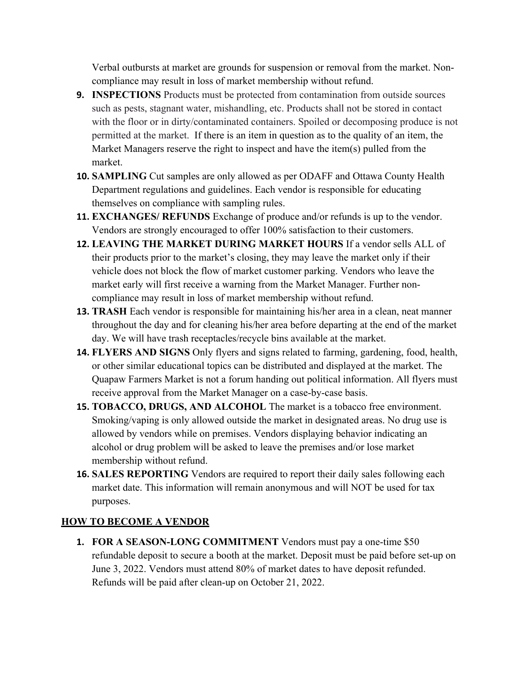Verbal outbursts at market are grounds for suspension or removal from the market. Noncompliance may result in loss of market membership without refund.

- **9. INSPECTIONS** Products must be protected from contamination from outside sources such as pests, stagnant water, mishandling, etc. Products shall not be stored in contact with the floor or in dirty/contaminated containers. Spoiled or decomposing produce is not permitted at the market. If there is an item in question as to the quality of an item, the Market Managers reserve the right to inspect and have the item(s) pulled from the market.
- **10. SAMPLING** Cut samples are only allowed as per ODAFF and Ottawa County Health Department regulations and guidelines. Each vendor is responsible for educating themselves on compliance with sampling rules.
- **11. EXCHANGES/ REFUNDS** Exchange of produce and/or refunds is up to the vendor. Vendors are strongly encouraged to offer 100% satisfaction to their customers.
- **12. LEAVING THE MARKET DURING MARKET HOURS** If a vendor sells ALL of their products prior to the market's closing, they may leave the market only if their vehicle does not block the flow of market customer parking. Vendors who leave the market early will first receive a warning from the Market Manager. Further noncompliance may result in loss of market membership without refund.
- **13. TRASH** Each vendor is responsible for maintaining his/her area in a clean, neat manner throughout the day and for cleaning his/her area before departing at the end of the market day. We will have trash receptacles/recycle bins available at the market.
- **14. FLYERS AND SIGNS** Only flyers and signs related to farming, gardening, food, health, or other similar educational topics can be distributed and displayed at the market. The Quapaw Farmers Market is not a forum handing out political information. All flyers must receive approval from the Market Manager on a case-by-case basis.
- **15. TOBACCO, DRUGS, AND ALCOHOL** The market is a tobacco free environment. Smoking/vaping is only allowed outside the market in designated areas. No drug use is allowed by vendors while on premises. Vendors displaying behavior indicating an alcohol or drug problem will be asked to leave the premises and/or lose market membership without refund.
- **16. SALES REPORTING** Vendors are required to report their daily sales following each market date. This information will remain anonymous and will NOT be used for tax purposes.

## **HOW TO BECOME A VENDOR**

**1. FOR A SEASON-LONG COMMITMENT** Vendors must pay a one-time \$50 refundable deposit to secure a booth at the market. Deposit must be paid before set-up on June 3, 2022. Vendors must attend 80% of market dates to have deposit refunded. Refunds will be paid after clean-up on October 21, 2022.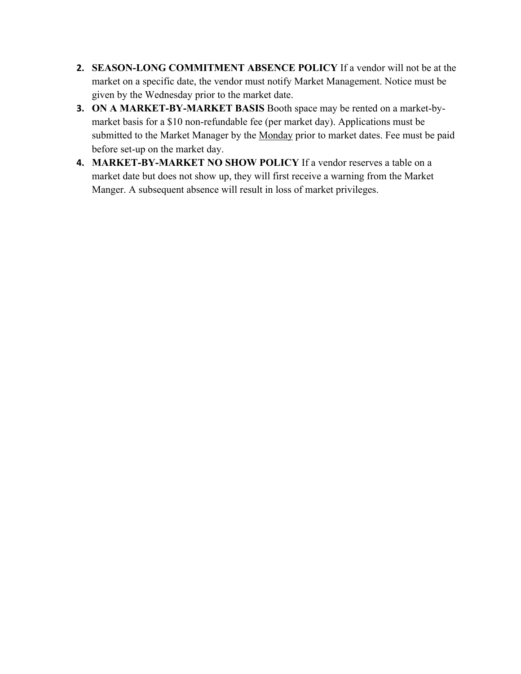- **2. SEASON-LONG COMMITMENT ABSENCE POLICY** If a vendor will not be at the market on a specific date, the vendor must notify Market Management. Notice must be given by the Wednesday prior to the market date.
- **3. ON A MARKET-BY-MARKET BASIS** Booth space may be rented on a market-bymarket basis for a \$10 non-refundable fee (per market day). Applications must be submitted to the Market Manager by the Monday prior to market dates. Fee must be paid before set-up on the market day.
- **4. MARKET-BY-MARKET NO SHOW POLICY** If a vendor reserves a table on a market date but does not show up, they will first receive a warning from the Market Manger. A subsequent absence will result in loss of market privileges.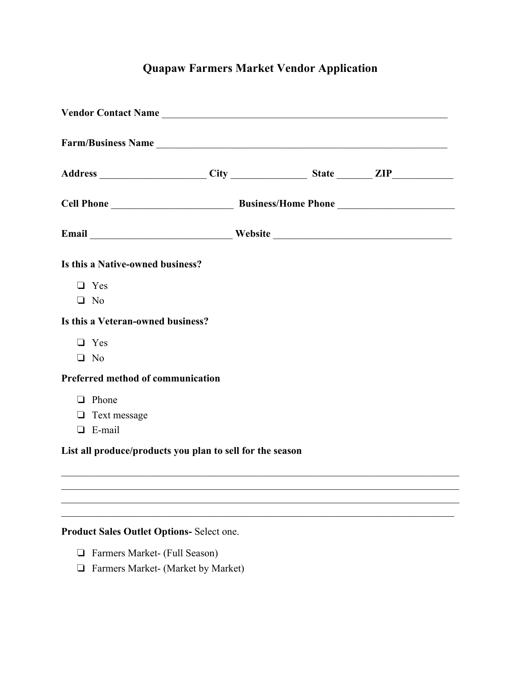# **Quapaw Farmers Market Vendor Application**

|                                           | Vendor Contact Name                                       |  |
|-------------------------------------------|-----------------------------------------------------------|--|
|                                           | Farm/Business Name                                        |  |
|                                           |                                                           |  |
|                                           |                                                           |  |
|                                           | Email Nebsite Nebsite                                     |  |
| Is this a Native-owned business?          |                                                           |  |
| $\Box$ Yes                                |                                                           |  |
| $\Box$ No                                 |                                                           |  |
| Is this a Veteran-owned business?         |                                                           |  |
| $\Box$ Yes                                |                                                           |  |
| $\Box$ No                                 |                                                           |  |
| Preferred method of communication         |                                                           |  |
| $\Box$ Phone                              |                                                           |  |
| $\Box$ Text message                       |                                                           |  |
| $\Box$ E-mail                             |                                                           |  |
|                                           | List all produce/products you plan to sell for the season |  |
|                                           |                                                           |  |
|                                           |                                                           |  |
|                                           |                                                           |  |
| Product Sales Outlet Options- Select one. |                                                           |  |
| Farmers Market- (Full Season)<br>$\sqcup$ |                                                           |  |
|                                           | Farmers Market- (Market by Market)                        |  |